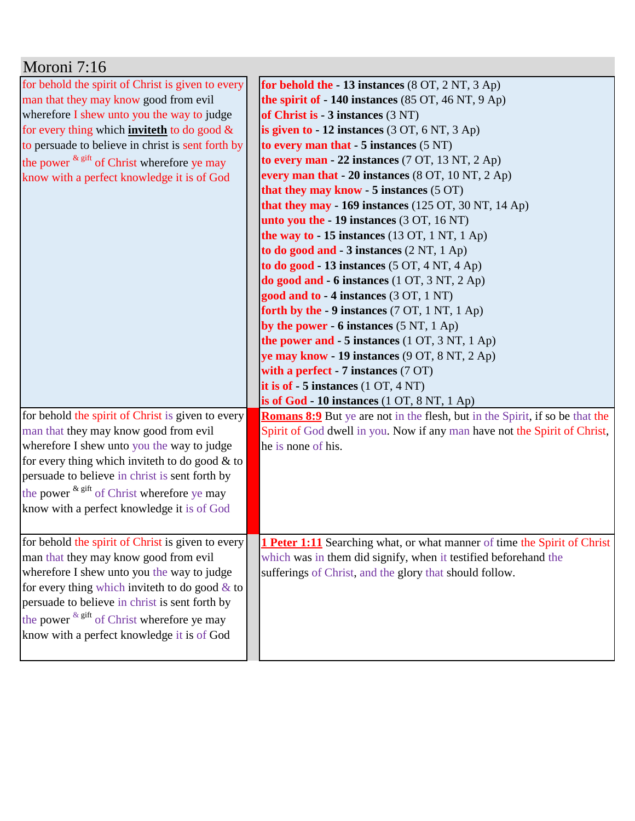| Moroni 7:16                                              |                                                                                     |
|----------------------------------------------------------|-------------------------------------------------------------------------------------|
| for behold the spirit of Christ is given to every        | for behold the - 13 instances (8 OT, 2 NT, 3 Ap)                                    |
| man that they may know good from evil                    | the spirit of - 140 instances (85 OT, 46 NT, 9 Ap)                                  |
| wherefore I shew unto you the way to judge               | of Christ is - 3 instances (3 NT)                                                   |
| for every thing which <b>inviteth</b> to do good $\&$    | is given to $-12$ instances $(3 OT, 6 NT, 3 Ap)$                                    |
| to persuade to believe in christ is sent forth by        | to every man that $-5$ instances $(5 \text{ NT})$                                   |
| the power $k$ <sup>gift</sup> of Christ wherefore ye may | to every man - 22 instances $(7 OT, 13 NT, 2 Ap)$                                   |
| know with a perfect knowledge it is of God               | every man that $-20$ instances $(8 \text{ OT}, 10 \text{ NT}, 2 \text{ Ap})$        |
|                                                          | that they may know - $5$ instances $(5 \text{ OT})$                                 |
|                                                          | that they may - 169 instances $(125 \text{ OT}, 30 \text{ NT}, 14 \text{ Ap})$      |
|                                                          | unto you the $-19$ instances $(3 OT, 16 NT)$                                        |
|                                                          | the way to $-15$ instances (13 OT, 1 NT, 1 Ap)                                      |
|                                                          | to do good and $-3$ instances $(2 NT, 1 Ap)$                                        |
|                                                          | to do good - 13 instances $(5 OT, 4 NT, 4 Ap)$                                      |
|                                                          | do good and $-6$ instances (1 OT, 3 NT, 2 Ap)                                       |
|                                                          | good and to - 4 instances (3 OT, 1 NT)                                              |
|                                                          | forth by the $-9$ instances (7 OT, 1 NT, 1 Ap)                                      |
|                                                          | by the power $-6$ instances $(5 \text{ NT}, 1 \text{ Ap})$                          |
|                                                          | the power and - 5 instances (1 OT, 3 NT, 1 Ap)                                      |
|                                                          | ye may know - 19 instances (9 OT, 8 NT, 2 Ap)                                       |
|                                                          | with a perfect $-7$ instances $(7 \text{ OT})$                                      |
|                                                          | it is of $-5$ instances $(1 OT, 4 NT)$                                              |
|                                                          | is of God - 10 instances (1 OT, 8 NT, 1 Ap)                                         |
| for behold the spirit of Christ is given to every        | <b>Romans 8:9</b> But ye are not in the flesh, but in the Spirit, if so be that the |
| man that they may know good from evil                    | Spirit of God dwell in you. Now if any man have not the Spirit of Christ,           |
| wherefore I shew unto you the way to judge               | he is none of his.                                                                  |
| for every thing which inviteth to do good & to           |                                                                                     |
| persuade to believe in christ is sent forth by           |                                                                                     |
| the power & gift of Christ wherefore ye may              |                                                                                     |
| know with a perfect knowledge it is of God               |                                                                                     |
|                                                          |                                                                                     |
| for behold the spirit of Christ is given to every        | <b>1 Peter 1:11</b> Searching what, or what manner of time the Spirit of Christ     |
| man that they may know good from evil                    | which was in them did signify, when it testified beforehand the                     |
| wherefore I shew unto you the way to judge               | sufferings of Christ, and the glory that should follow.                             |
| for every thing which invite th to do good $\&$ to       |                                                                                     |
| persuade to believe in christ is sent forth by           |                                                                                     |
| the power $k$ <sup>gift</sup> of Christ wherefore ye may |                                                                                     |
| know with a perfect knowledge it is of God               |                                                                                     |
|                                                          |                                                                                     |
|                                                          |                                                                                     |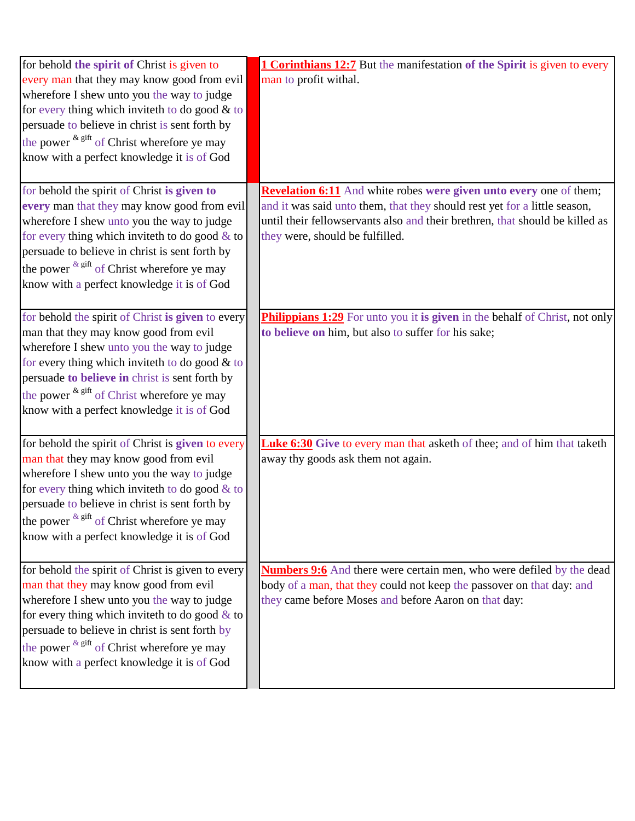| for behold the spirit of Christ is given to              | <b>1 Corinthians 12:7</b> But the manifestation of the Spirit is given to every    |
|----------------------------------------------------------|------------------------------------------------------------------------------------|
| every man that they may know good from evil              | man to profit withal.                                                              |
| wherefore I shew unto you the way to judge               |                                                                                    |
| for every thing which inviteth to do good $&$ to         |                                                                                    |
| persuade to believe in christ is sent forth by           |                                                                                    |
| the power $k$ <sup>gift</sup> of Christ wherefore ye may |                                                                                    |
| know with a perfect knowledge it is of God               |                                                                                    |
|                                                          |                                                                                    |
| for behold the spirit of Christ is given to              | <b>Revelation 6:11</b> And white robes were given unto every one of them;          |
| every man that they may know good from evil              | and it was said unto them, that they should rest yet for a little season,          |
| wherefore I shew unto you the way to judge               | until their fellowservants also and their brethren, that should be killed as       |
| for every thing which inviteth to do good $&$ to         | they were, should be fulfilled.                                                    |
| persuade to believe in christ is sent forth by           |                                                                                    |
| the power $k$ gift of Christ wherefore ye may            |                                                                                    |
| know with a perfect knowledge it is of God               |                                                                                    |
|                                                          |                                                                                    |
| for behold the spirit of Christ is given to every        | <b>Philippians 1:29</b> For unto you it is given in the behalf of Christ, not only |
| man that they may know good from evil                    | to believe on him, but also to suffer for his sake;                                |
| wherefore I shew unto you the way to judge               |                                                                                    |
| for every thing which inviteth to do good $&$ to         |                                                                                    |
| persuade to believe in christ is sent forth by           |                                                                                    |
| the power $k$ <sup>gift</sup> of Christ wherefore ye may |                                                                                    |
| know with a perfect knowledge it is of God               |                                                                                    |
|                                                          |                                                                                    |
| for behold the spirit of Christ is <b>given</b> to every | <b>Luke 6:30</b> Give to every man that asketh of thee; and of him that taketh     |
| man that they may know good from evil                    | away thy goods ask them not again.                                                 |
| wherefore I shew unto you the way to judge               |                                                                                    |
| for every thing which inviteth to do good $&$ to         |                                                                                    |
| persuade to believe in christ is sent forth by           |                                                                                    |
| the power $k$ <sup>gift</sup> of Christ wherefore ye may |                                                                                    |
| know with a perfect knowledge it is of God               |                                                                                    |
|                                                          |                                                                                    |
| for behold the spirit of Christ is given to every        | <b>Numbers 9:6</b> And there were certain men, who were defiled by the dead        |
| man that they may know good from evil                    | body of a man, that they could not keep the passover on that day: and              |
| wherefore I shew unto you the way to judge               | they came before Moses and before Aaron on that day:                               |
| for every thing which inviteth to do good $\&$ to        |                                                                                    |
| persuade to believe in christ is sent forth by           |                                                                                    |
| the power $k$ <sup>gift</sup> of Christ wherefore ye may |                                                                                    |
| know with a perfect knowledge it is of God               |                                                                                    |
|                                                          |                                                                                    |
|                                                          |                                                                                    |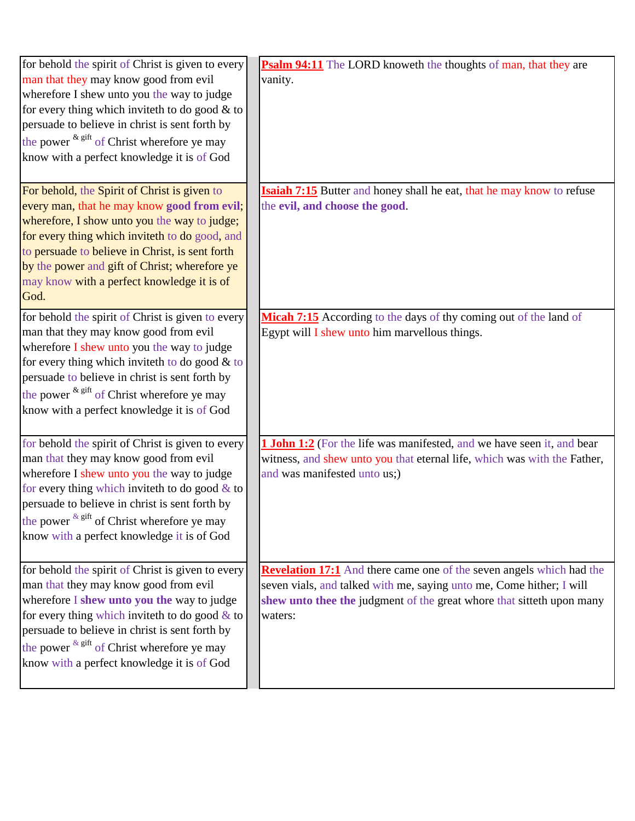| for behold the spirit of Christ is given to every               | <b>Psalm 94:11</b> The LORD knoweth the thoughts of man, that they are        |
|-----------------------------------------------------------------|-------------------------------------------------------------------------------|
| man that they may know good from evil                           | vanity.                                                                       |
| wherefore I shew unto you the way to judge                      |                                                                               |
| for every thing which inviteth to do good $&$ to                |                                                                               |
| persuade to believe in christ is sent forth by                  |                                                                               |
| the power $k$ <sup>gift</sup> of Christ wherefore ye may        |                                                                               |
| know with a perfect knowledge it is of God                      |                                                                               |
|                                                                 |                                                                               |
| For behold, the Spirit of Christ is given to                    | <b>Isaiah 7:15</b> Butter and honey shall he eat, that he may know to refuse  |
| every man, that he may know good from evil;                     | the evil, and choose the good.                                                |
| wherefore, I show unto you the way to judge;                    |                                                                               |
| for every thing which inviteth to do good, and                  |                                                                               |
| to persuade to believe in Christ, is sent forth                 |                                                                               |
| by the power and gift of Christ; wherefore ye                   |                                                                               |
| may know with a perfect knowledge it is of                      |                                                                               |
| God.                                                            |                                                                               |
| for behold the spirit of Christ is given to every               | Micah 7:15 According to the days of thy coming out of the land of             |
| man that they may know good from evil                           | Egypt will I shew unto him marvellous things.                                 |
| wherefore I shew unto you the way to judge                      |                                                                               |
| for every thing which inviteth to do good $&$ to                |                                                                               |
| persuade to believe in christ is sent forth by                  |                                                                               |
| the power $k$ <sup>gift</sup> of Christ wherefore ye may        |                                                                               |
|                                                                 |                                                                               |
| know with a perfect knowledge it is of God                      |                                                                               |
| for behold the spirit of Christ is given to every               | <b>1 John 1:2</b> (For the life was manifested, and we have seen it, and bear |
| man that they may know good from evil                           | witness, and shew unto you that eternal life, which was with the Father,      |
| wherefore I shew unto you the way to judge                      | and was manifested unto us;)                                                  |
| for every thing which invite th to do good $&$ to               |                                                                               |
| persuade to believe in christ is sent forth by                  |                                                                               |
| the power $\frac{k \text{ gift}}{k}$ of Christ wherefore ye may |                                                                               |
| know with a perfect knowledge it is of God                      |                                                                               |
|                                                                 |                                                                               |
| for behold the spirit of Christ is given to every               | <b>Revelation 17:1</b> And there came one of the seven angels which had the   |
| man that they may know good from evil                           | seven vials, and talked with me, saying unto me, Come hither; I will          |
| wherefore I shew unto you the way to judge                      | shew unto thee the judgment of the great whore that sitteth upon many         |
| for every thing which inviteth to do good $&$ to                | waters:                                                                       |
| persuade to believe in christ is sent forth by                  |                                                                               |
| the power $k$ <sup>gift</sup> of Christ wherefore ye may        |                                                                               |
| know with a perfect knowledge it is of God                      |                                                                               |
|                                                                 |                                                                               |
|                                                                 |                                                                               |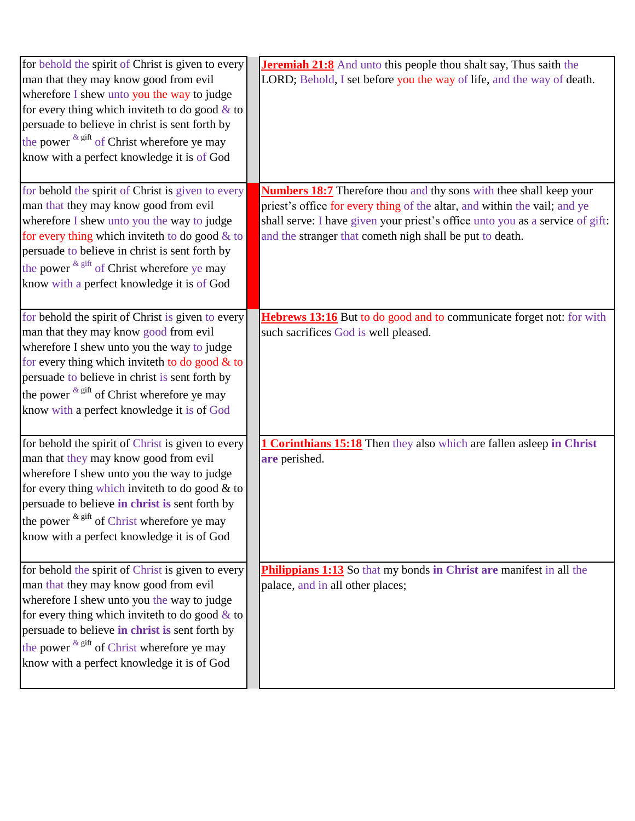| for behold the spirit of Christ is given to every<br>man that they may know good from evil<br>wherefore I shew unto you the way to judge<br>for every thing which inviteth to do good $&$ to<br>persuade to believe in christ is sent forth by<br>the power $k$ <sup>gift</sup> of Christ wherefore ye may<br>know with a perfect knowledge it is of God        | <b>Jeremiah 21:8</b> And unto this people thou shalt say, Thus saith the<br>LORD; Behold, I set before you the way of life, and the way of death.                                                                                                                                                   |
|-----------------------------------------------------------------------------------------------------------------------------------------------------------------------------------------------------------------------------------------------------------------------------------------------------------------------------------------------------------------|-----------------------------------------------------------------------------------------------------------------------------------------------------------------------------------------------------------------------------------------------------------------------------------------------------|
| for behold the spirit of Christ is given to every<br>man that they may know good from evil<br>wherefore I shew unto you the way to judge<br>for every thing which inviteth to do good $&$ to<br>persuade to believe in christ is sent forth by<br>the power $\frac{k \text{ gift}}{k}$ of Christ wherefore ye may<br>know with a perfect knowledge it is of God | <b>Numbers 18:7</b> Therefore thou and thy sons with thee shall keep your<br>priest's office for every thing of the altar, and within the vail; and ye<br>shall serve: I have given your priest's office unto you as a service of gift:<br>and the stranger that cometh nigh shall be put to death. |
| for behold the spirit of Christ is given to every<br>man that they may know good from evil<br>wherefore I shew unto you the way to judge<br>for every thing which inviteth to do good $&$ to<br>persuade to believe in christ is sent forth by<br>the power $\frac{k \text{ gift}}{k}$ of Christ wherefore ye may<br>know with a perfect knowledge it is of God | Hebrews 13:16 But to do good and to communicate forget not: for with<br>such sacrifices God is well pleased.                                                                                                                                                                                        |
| for behold the spirit of Christ is given to every<br>man that they may know good from evil<br>wherefore I shew unto you the way to judge<br>for every thing which inviteth to do good $&$ to<br>persuade to believe in christ is sent forth by<br>the power $k$ <sup>gift</sup> of Christ wherefore ye may<br>know with a perfect knowledge it is of God        | 1 Corinthians 15:18 Then they also which are fallen asleep in Christ<br>are perished.                                                                                                                                                                                                               |
| for behold the spirit of Christ is given to every<br>man that they may know good from evil<br>wherefore I shew unto you the way to judge<br>for every thing which inviteth to do good $\&$ to<br>persuade to believe in christ is sent forth by<br>the power $k$ gift of Christ wherefore ye may<br>know with a perfect knowledge it is of God                  | Philippians 1:13 So that my bonds in Christ are manifest in all the<br>palace, and in all other places;                                                                                                                                                                                             |